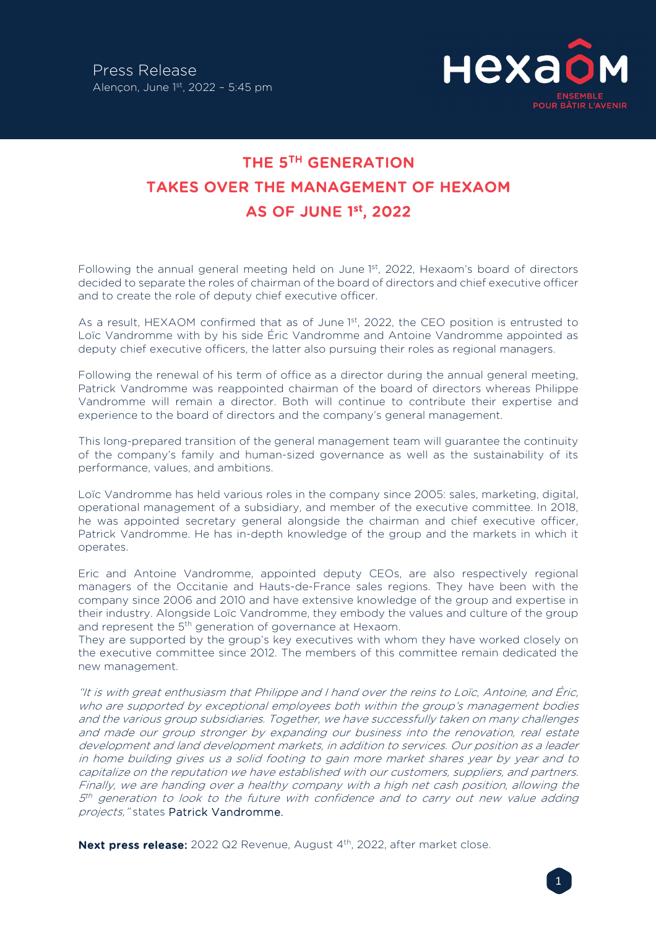

## THE 5TH GENERATION TAKES OVER THE MANAGEMENT OF HEXAOM AS OF JUNE 1st, 2022

Following the annual general meeting held on June 1st, 2022, Hexaom's board of directors decided to separate the roles of chairman of the board of directors and chief executive officer and to create the role of deputy chief executive officer.

As a result, HEXAOM confirmed that as of June  $1<sup>st</sup>$ , 2022, the CEO position is entrusted to Loïc Vandromme with by his side Éric Vandromme and Antoine Vandromme appointed as deputy chief executive officers, the latter also pursuing their roles as regional managers.

Following the renewal of his term of office as a director during the annual general meeting, Patrick Vandromme was reappointed chairman of the board of directors whereas Philippe Vandromme will remain a director. Both will continue to contribute their expertise and experience to the board of directors and the company's general management.

This long-prepared transition of the general management team will guarantee the continuity of the company's family and human-sized governance as well as the sustainability of its performance, values, and ambitions.

Loïc Vandromme has held various roles in the company since 2005: sales, marketing, digital, operational management of a subsidiary, and member of the executive committee. In 2018, he was appointed secretary general alongside the chairman and chief executive officer, Patrick Vandromme. He has in-depth knowledge of the group and the markets in which it operates.

Eric and Antoine Vandromme, appointed deputy CEOs, are also respectively regional managers of the Occitanie and Hauts-de-France sales regions. They have been with the company since 2006 and 2010 and have extensive knowledge of the group and expertise in their industry. Alongside Loïc Vandromme, they embody the values and culture of the group and represent the 5<sup>th</sup> generation of governance at Hexaom.

They are supported by the group's key executives with whom they have worked closely on the executive committee since 2012. The members of this committee remain dedicated the new management.

"It is with great enthusiasm that Philippe and I hand over the reins to Loïc, Antoine, and Éric, who are supported by exceptional employees both within the group's management bodies and the various group subsidiaries. Together, we have successfully taken on many challenges and made our group stronger by expanding our business into the renovation, real estate development and land development markets, in addition to services. Our position as a leader in home building gives us a solid footing to gain more market shares year by year and to capitalize on the reputation we have established with our customers, suppliers, and partners. Finally, we are handing over a healthy company with a high net cash position, allowing the  $5<sup>th</sup>$  generation to look to the future with confidence and to carry out new value adding projects," states Patrick Vandromme.

Next press release: 2022 Q2 Revenue, August 4<sup>th</sup>, 2022, after market close.